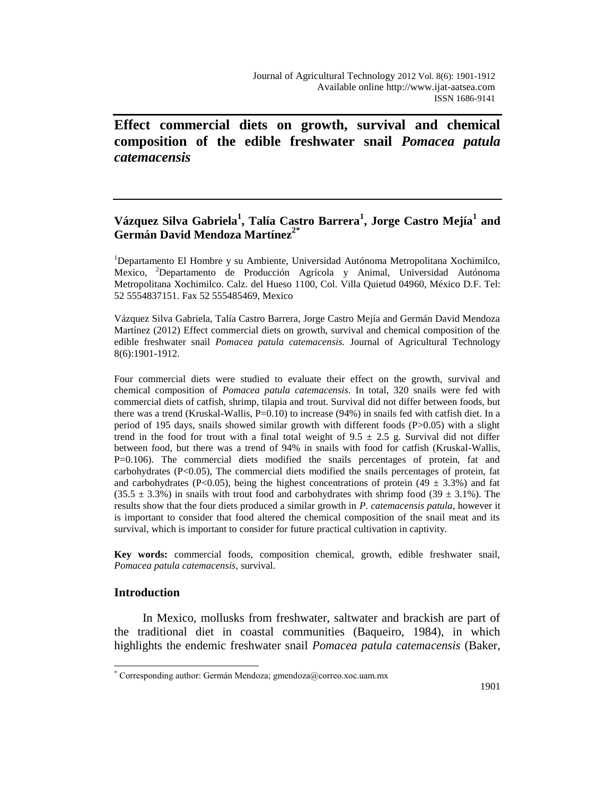**Effect commercial diets on growth, survival and chemical composition of the edible freshwater snail** *Pomacea patula catemacensis*

# **Vázquez Silva Gabriela<sup>1</sup> , Talía Castro Barrera<sup>1</sup> , Jorge Castro Mejía<sup>1</sup> and Germán David Mendoza Martínez2\***

<sup>1</sup>Departamento El Hombre y su Ambiente, Universidad Autónoma Metropolitana Xochimilco, Mexico, <sup>2</sup>Departamento de Producción Agrícola y Animal, Universidad Autónoma Metropolitana Xochimilco. Calz. del Hueso 1100, Col. Villa Quietud 04960, México D.F. Tel: 52 5554837151. Fax 52 555485469, Mexico

Vázquez Silva Gabriela, Talía Castro Barrera, Jorge Castro Mejía and Germán David Mendoza Martínez (2012) Effect commercial diets on growth, survival and chemical composition of the edible freshwater snail *Pomacea patula catemacensis.* Journal of Agricultural Technology 8(6):1901-1912.

Four commercial diets were studied to evaluate their effect on the growth, survival and chemical composition of *Pomacea patula catemacensis*. In total, 320 snails were fed with commercial diets of catfish, shrimp, tilapia and trout. Survival did not differ between foods, but there was a trend (Kruskal-Wallis,  $P=0.10$ ) to increase (94%) in snails fed with catfish diet. In a period of 195 days, snails showed similar growth with different foods (P>0.05) with a slight trend in the food for trout with a final total weight of  $9.5 \pm 2.5$  g. Survival did not differ between food, but there was a trend of 94% in snails with food for catfish (Kruskal-Wallis, P=0.106). The commercial diets modified the snails percentages of protein, fat and carbohydrates (P<0.05), The commercial diets modified the snails percentages of protein, fat and carbohydrates (P<0.05), being the highest concentrations of protein (49  $\pm$  3.3%) and fat  $(35.5 \pm 3.3\%)$  in snails with trout food and carbohydrates with shrimp food  $(39 \pm 3.1\%)$ . The results show that the four diets produced a similar growth in *P. catemacensis patula*, however it is important to consider that food altered the chemical composition of the snail meat and its survival, which is important to consider for future practical cultivation in captivity.

**Key words:** commercial foods, composition chemical, growth, edible freshwater snail, *Pomacea patula catemacensis,* survival.

## **Introduction**

 $\overline{a}$ 

In Mexico, mollusks from freshwater, saltwater and brackish are part of the traditional diet in coastal communities (Baqueiro, 1984), in which highlights the endemic freshwater snail *Pomacea patula catemacensis* (Baker,

 $^*$  Corresponding author: Germán Mendoza; gmendoza $\omega$ correo.xoc.uam.mx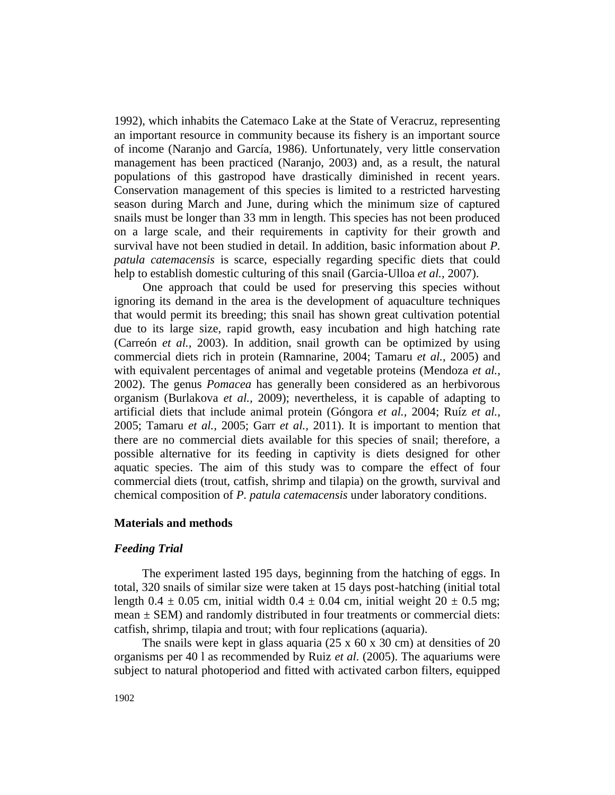1992), which inhabits the Catemaco Lake at the State of Veracruz, representing an important resource in community because its fishery is an important source of income (Naranjo and García, 1986). Unfortunately, very little conservation management has been practiced (Naranjo, 2003) and, as a result, the natural populations of this gastropod have drastically diminished in recent years. Conservation management of this species is limited to a restricted harvesting season during March and June, during which the minimum size of captured snails must be longer than 33 mm in length. This species has not been produced on a large scale, and their requirements in captivity for their growth and survival have not been studied in detail. In addition, basic information about *P. patula catemacensis* is scarce, especially regarding specific diets that could help to establish domestic culturing of this snail (Garcia-Ulloa *et al.,* 2007).

One approach that could be used for preserving this species without ignoring its demand in the area is the development of aquaculture techniques that would permit its breeding; this snail has shown great cultivation potential due to its large size, rapid growth, easy incubation and high hatching rate (Carreón *et al.,* 2003). In addition, snail growth can be optimized by using commercial diets rich in protein (Ramnarine, 2004; Tamaru *et al.,* 2005) and with equivalent percentages of animal and vegetable proteins (Mendoza *et al.,* 2002). The genus *Pomacea* has generally been considered as an herbivorous organism (Burlakova *et al.,* 2009); nevertheless, it is capable of adapting to artificial diets that include animal protein (Góngora *et al.,* 2004; Ruíz *et al.,*  2005; Tamaru *et al.,* 2005; Garr *et al.,* 2011). It is important to mention that there are no commercial diets available for this species of snail; therefore, a possible alternative for its feeding in captivity is diets designed for other aquatic species. The aim of this study was to compare the effect of four commercial diets (trout, catfish, shrimp and tilapia) on the growth, survival and chemical composition of *P. patula catemacensis* under laboratory conditions.

## **Materials and methods**

#### *Feeding Trial*

The experiment lasted 195 days, beginning from the hatching of eggs. In total, 320 snails of similar size were taken at 15 days post-hatching (initial total length 0.4  $\pm$  0.05 cm, initial width 0.4  $\pm$  0.04 cm, initial weight 20  $\pm$  0.5 mg; mean  $\pm$  SEM) and randomly distributed in four treatments or commercial diets: catfish, shrimp, tilapia and trout; with four replications (aquaria).

The snails were kept in glass aquaria (25 x 60 x 30 cm) at densities of 20 organisms per 40 l as recommended by Ruiz *et al.* (2005). The aquariums were subject to natural photoperiod and fitted with activated carbon filters, equipped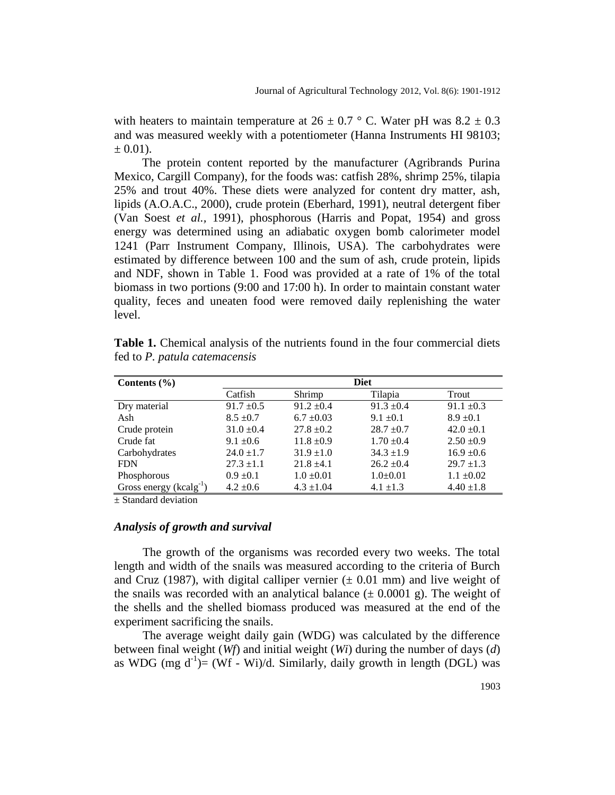with heaters to maintain temperature at  $26 \pm 0.7$  ° C. Water pH was  $8.2 \pm 0.3$ and was measured weekly with a potentiometer (Hanna Instruments HI 98103;  $\pm$  0.01).

The protein content reported by the manufacturer (Agribrands Purina Mexico, Cargill Company), for the foods was: catfish 28%, shrimp 25%, tilapia 25% and trout 40%. These diets were analyzed for content dry matter, ash, lipids (A.O.A.C., 2000), crude protein (Eberhard, 1991), neutral detergent fiber (Van Soest *et al.,* 1991), phosphorous (Harris and Popat, 1954) and gross energy was determined using an adiabatic oxygen bomb calorimeter model 1241 (Parr Instrument Company, Illinois, USA). The carbohydrates were estimated by difference between 100 and the sum of ash, crude protein, lipids and NDF, shown in Table 1. Food was provided at a rate of 1% of the total biomass in two portions (9:00 and 17:00 h). In order to maintain constant water quality, feces and uneaten food were removed daily replenishing the water level.

| Contents $(\% )$            |                   | <b>Diet</b>    |                |                |  |  |
|-----------------------------|-------------------|----------------|----------------|----------------|--|--|
|                             | Catfish<br>Shrimp |                | Tilapia        | Trout          |  |  |
|                             |                   |                |                |                |  |  |
| Dry material                | $91.7 \pm 0.5$    | $91.2 \pm 0.4$ | $91.3 \pm 0.4$ | $91.1 \pm 0.3$ |  |  |
| Ash                         | $8.5 \pm 0.7$     | $6.7 \pm 0.03$ | $9.1 \pm 0.1$  | $8.9 \pm 0.1$  |  |  |
| Crude protein               | $31.0 \pm 0.4$    | $27.8 \pm 0.2$ | $28.7 \pm 0.7$ | $42.0 \pm 0.1$ |  |  |
| Crude fat                   | $9.1 \pm 0.6$     | $11.8 \pm 0.9$ | $1.70 \pm 0.4$ | $2.50 \pm 0.9$ |  |  |
| Carbohydrates               | $24.0 \pm 1.7$    | $31.9 \pm 1.0$ | $34.3 \pm 1.9$ | $16.9 \pm 0.6$ |  |  |
| <b>FDN</b>                  | $27.3 \pm 1.1$    | $21.8 \pm 4.1$ | $26.2 \pm 0.4$ | $29.7 \pm 1.3$ |  |  |
| Phosphorous                 | $0.9 \pm 0.1$     | $1.0 \pm 0.01$ | $1.0+0.01$     | $1.1 \pm 0.02$ |  |  |
| Gross energy $(kcalg^{-1})$ | $4.2 \pm 0.6$     | $4.3 \pm 1.04$ | $4.1 \pm 1.3$  | $4.40 \pm 1.8$ |  |  |

**Table 1.** Chemical analysis of the nutrients found in the four commercial diets fed to *P. patula catemacensis*

± Standard deviation

### *Analysis of growth and survival*

The growth of the organisms was recorded every two weeks. The total length and width of the snails was measured according to the criteria of Burch and Cruz (1987), with digital calliper vernier  $(\pm 0.01 \text{ mm})$  and live weight of the snails was recorded with an analytical balance  $(\pm 0.0001 \text{ g})$ . The weight of the shells and the shelled biomass produced was measured at the end of the experiment sacrificing the snails.

The average weight daily gain (WDG) was calculated by the difference between final weight (*Wf*) and initial weight (*Wi*) during the number of days (*d*) as WDG (mg  $d^{-1}$ )= (Wf - Wi)/d. Similarly, daily growth in length (DGL) was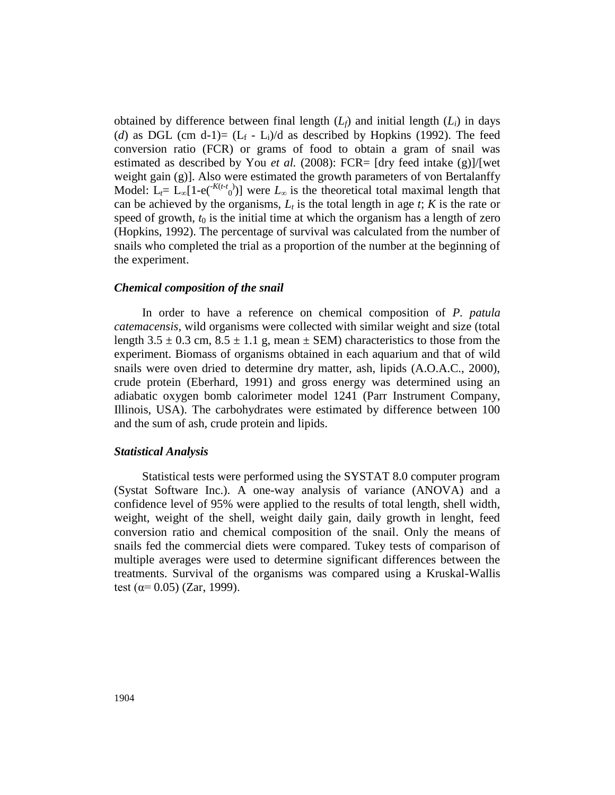obtained by difference between final length  $(L_f)$  and initial length  $(L_i)$  in days (*d*) as DGL (cm d-1)=  $(L_f - L_i)/d$  as described by Hopkins (1992). The feed conversion ratio (FCR) or grams of food to obtain a gram of snail was estimated as described by You *et al.* (2008): FCR=  $[dry \text{ feed intake (g)}]/[wet]$ weight gain (g)]. Also were estimated the growth parameters of von Bertalanffy Model:  $L_t = L_\infty[1-e^{-(K(t-t))}]$  were  $L_\infty$  is the theoretical total maximal length that can be achieved by the organisms,  $L_t$  is the total length in age *t*; *K* is the rate or speed of growth,  $t_0$  is the initial time at which the organism has a length of zero (Hopkins, 1992). The percentage of survival was calculated from the number of snails who completed the trial as a proportion of the number at the beginning of the experiment.

#### *Chemical composition of the snail*

In order to have a reference on chemical composition of *P. patula catemacensis,* wild organisms were collected with similar weight and size (total length 3.5  $\pm$  0.3 cm, 8.5  $\pm$  1.1 g, mean  $\pm$  SEM) characteristics to those from the experiment. Biomass of organisms obtained in each aquarium and that of wild snails were oven dried to determine dry matter, ash, lipids (A.O.A.C., 2000), crude protein (Eberhard, 1991) and gross energy was determined using an adiabatic oxygen bomb calorimeter model 1241 (Parr Instrument Company, Illinois, USA). The carbohydrates were estimated by difference between 100 and the sum of ash, crude protein and lipids.

#### *Statistical Analysis*

Statistical tests were performed using the SYSTAT 8.0 computer program (Systat Software Inc.). A one-way analysis of variance (ANOVA) and a confidence level of 95% were applied to the results of total length, shell width, weight, weight of the shell, weight daily gain, daily growth in lenght, feed conversion ratio and chemical composition of the snail. Only the means of snails fed the commercial diets were compared. Tukey tests of comparison of multiple averages were used to determine significant differences between the treatments. Survival of the organisms was compared using a Kruskal-Wallis test ( $\alpha$ = 0.05) (Zar, 1999).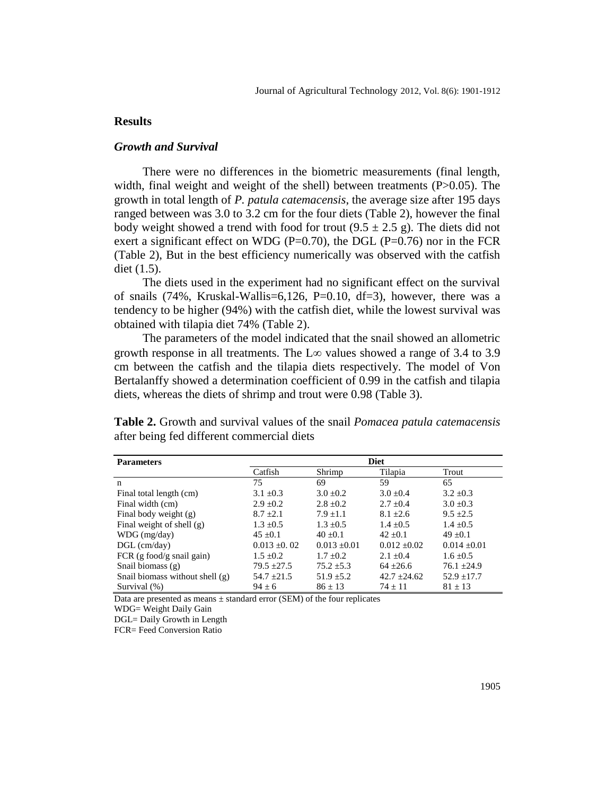### **Results**

### *Growth and Survival*

There were no differences in the biometric measurements (final length, width, final weight and weight of the shell) between treatments  $(P>0.05)$ . The growth in total length of *P. patula catemacensis*, the average size after 195 days ranged between was 3.0 to 3.2 cm for the four diets (Table 2), however the final body weight showed a trend with food for trout  $(9.5 \pm 2.5 \text{ g})$ . The diets did not exert a significant effect on WDG ( $P=0.70$ ), the DGL ( $P=0.76$ ) nor in the FCR (Table 2), But in the best efficiency numerically was observed with the catfish diet (1.5).

The diets used in the experiment had no significant effect on the survival of snails (74%, Kruskal-Wallis=6,126, P=0.10, df=3), however, there was a tendency to be higher (94%) with the catfish diet, while the lowest survival was obtained with tilapia diet 74% (Table 2).

The parameters of the model indicated that the snail showed an allometric growth response in all treatments. The  $L\infty$  values showed a range of 3.4 to 3.9 cm between the catfish and the tilapia diets respectively. The model of Von Bertalanffy showed a determination coefficient of 0.99 in the catfish and tilapia diets, whereas the diets of shrimp and trout were 0.98 (Table 3).

| <b>Parameters</b>                   | <b>Diet</b>      |                  |                  |                  |  |
|-------------------------------------|------------------|------------------|------------------|------------------|--|
|                                     | Catfish          | Shrimp           | Tilapia          | Trout            |  |
| n                                   | 75               | 69               | 59               | 65               |  |
| Final total length (cm)             | $3.1 \pm 0.3$    | $3.0 \pm 0.2$    | $3.0 \pm 0.4$    | $3.2 \pm 0.3$    |  |
| Final width (cm)                    | $2.9 \pm 0.2$    | $2.8 \pm 0.2$    | $2.7 \pm 0.4$    | $3.0 \pm 0.3$    |  |
| Final body weight $(g)$             | $8.7 \pm 2.1$    | $7.9 \pm 1.1$    | $8.1 \pm 2.6$    | $9.5 \pm 2.5$    |  |
| Final weight of shell $(g)$         | $1.3 \pm 0.5$    | $1.3 \pm 0.5$    | $1.4 \pm 0.5$    | $1.4 \pm 0.5$    |  |
| $WDG$ (mg/day)                      | $45 \pm 0.1$     | $40 + 0.1$       | $42 + 0.1$       | $49 \pm 0.1$     |  |
| $DGL$ (cm/day)                      | $0.013 \pm 0.02$ | $0.013 \pm 0.01$ | $0.012 \pm 0.02$ | $0.014 \pm 0.01$ |  |
| FCR $(g \text{ food/g snail gain})$ | $1.5 \pm 0.2$    | $1.7 + 0.2$      | $2.1 + 0.4$      | $1.6 \pm 0.5$    |  |
| Snail biomass $(g)$                 | $79.5 \pm 27.5$  | $75.2 \pm 5.3$   | $64 + 26.6$      | $76.1 \pm 24.9$  |  |
| Snail biomass without shell (g)     | $54.7 \pm 21.5$  | $51.9 \pm 5.2$   | $42.7 \pm 24.62$ | $52.9 \pm 17.7$  |  |
| Survival $(\% )$                    | $94 + 6$         | $86 + 13$        | $74 + 11$        | $81 + 13$        |  |

**Table 2.** Growth and survival values of the snail *Pomacea patula catemacensis* after being fed different commercial diets

Data are presented as means  $\pm$  standard error (SEM) of the four replicates

WDG= Weight Daily Gain

DGL= Daily Growth in Length

FCR= Feed Conversion Ratio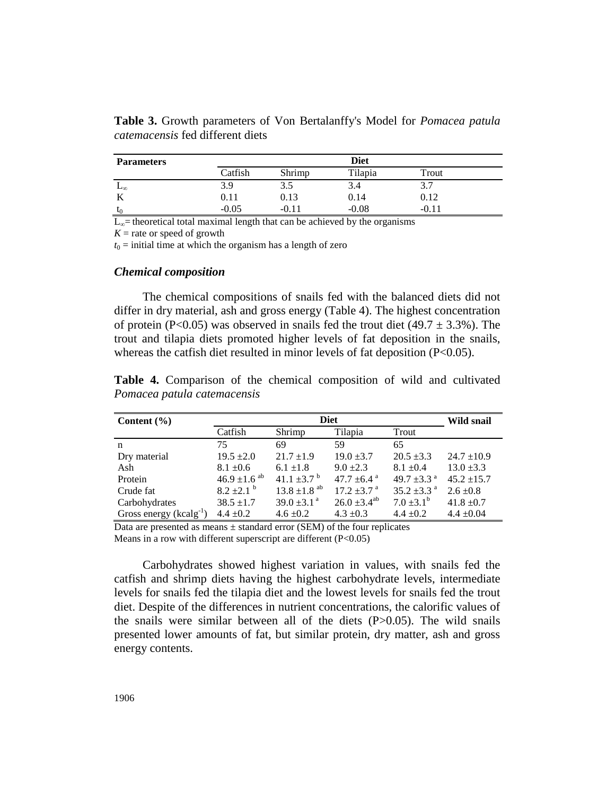| <b>Parameters</b> |         | <b>Diet</b> |         |       |  |
|-------------------|---------|-------------|---------|-------|--|
|                   | Catfish | Shrimp      | Tilapia | Trout |  |
| ⊷∞                | 3.9     | 3.J         | 3.4     | 3.7   |  |
|                   | 0.11    | 0.13        | 0.14    | 0.12  |  |
| $\mathsf{L}_0$    | -0.05   | $-0.11$     | $-0.08$ | -0.11 |  |

**Table 3.** Growth parameters of Von Bertalanffy's Model for *Pomacea patula catemacensis* fed different diets

 $L<sub>∞</sub>$ = theoretical total maximal length that can be achieved by the organisms

 $K =$  rate or speed of growth

 $t_0$  = initial time at which the organism has a length of zero

### *Chemical composition*

The chemical compositions of snails fed with the balanced diets did not differ in dry material, ash and gross energy (Table 4). The highest concentration of protein (P<0.05) was observed in snails fed the trout diet (49.7  $\pm$  3.3%). The trout and tilapia diets promoted higher levels of fat deposition in the snails, whereas the catfish diet resulted in minor levels of fat deposition  $(P<0.05)$ .

| Content $(\% )$             | <b>Diet</b>                  |                              |                              |                             | <b>Wild snail</b> |
|-----------------------------|------------------------------|------------------------------|------------------------------|-----------------------------|-------------------|
|                             | Catfish                      | Shrimp                       | Tilapia                      | Trout                       |                   |
| n                           | 75                           | 69                           | 59                           | 65                          |                   |
| Dry material                | $19.5 \pm 2.0$               | $21.7 \pm 1.9$               | $19.0 \pm 3.7$               | $20.5 \pm 3.3$              | $24.7 \pm 10.9$   |
| Ash                         | $8.1 \pm 0.6$                | $6.1 \pm 1.8$                | $9.0 + 2.3$                  | $8.1 \pm 0.4$               | $13.0 \pm 3.3$    |
| Protein                     | 46.9 $\pm$ 1.6 <sup>ab</sup> | 41.1 $\pm$ 3.7 $^{\rm b}$    | 47.7 $\pm$ 6.4 $\mathrm{^a}$ | 49.7 $\pm$ 3.3 $^{\circ}$   | $45.2 + 15.7$     |
| Crude fat                   | $8.2 \pm 2.1$ <sup>b</sup>   | $13.8 \pm 1.8$ <sup>ab</sup> | $17.2 \pm 3.7$ <sup>a</sup>  | $35.2 \pm 3.3$ <sup>a</sup> | $2.6 \pm 0.8$     |
| Carbohydrates               | $38.5 \pm 1.7$               | $39.0 \pm 3.1$ <sup>a</sup>  | $26.0 \pm 3.4^{ab}$          | $7.0 \pm 3.1^b$             | $41.8 \pm 0.7$    |
| Gross energy $(kcalg^{-1})$ | $4.4 \pm 0.2$                | $4.6 \pm 0.2$                | $4.3 \pm 0.3$                | $4.4 \pm 0.2$               | $4.4 \pm 0.04$    |

**Table 4.** Comparison of the chemical composition of wild and cultivated *Pomacea patula catemacensis*

Data are presented as means  $\pm$  standard error (SEM) of the four replicates Means in a row with different superscript are different  $(P<0.05)$ 

Carbohydrates showed highest variation in values, with snails fed the catfish and shrimp diets having the highest carbohydrate levels, intermediate levels for snails fed the tilapia diet and the lowest levels for snails fed the trout diet. Despite of the differences in nutrient concentrations, the calorific values of the snails were similar between all of the diets  $(P>0.05)$ . The wild snails presented lower amounts of fat, but similar protein, dry matter, ash and gross energy contents.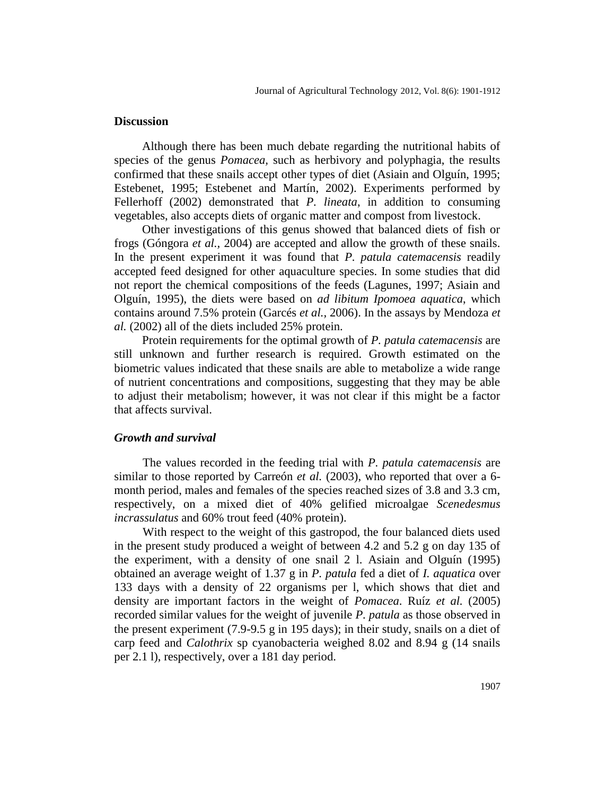### **Discussion**

Although there has been much debate regarding the nutritional habits of species of the genus *Pomacea,* such as herbivory and polyphagia, the results confirmed that these snails accept other types of diet (Asiain and Olguín, 1995; Estebenet, 1995; Estebenet and Martín, 2002). Experiments performed by Fellerhoff (2002) demonstrated that *P. lineata*, in addition to consuming vegetables, also accepts diets of organic matter and compost from livestock.

Other investigations of this genus showed that balanced diets of fish or frogs (Góngora *et al.,* 2004) are accepted and allow the growth of these snails. In the present experiment it was found that *P. patula catemacensis* readily accepted feed designed for other aquaculture species. In some studies that did not report the chemical compositions of the feeds (Lagunes, 1997; Asiain and Olguín, 1995), the diets were based on *ad libitum Ipomoea aquatica*, which contains around 7.5% protein (Garcés *et al.,* 2006). In the assays by Mendoza *et al.* (2002) all of the diets included 25% protein.

Protein requirements for the optimal growth of *P. patula catemacensis* are still unknown and further research is required. Growth estimated on the biometric values indicated that these snails are able to metabolize a wide range of nutrient concentrations and compositions, suggesting that they may be able to adjust their metabolism; however, it was not clear if this might be a factor that affects survival.

#### *Growth and survival*

The values recorded in the feeding trial with *P. patula catemacensis* are similar to those reported by Carreón *et al.* (2003), who reported that over a 6 month period, males and females of the species reached sizes of 3.8 and 3.3 cm, respectively, on a mixed diet of 40% gelified microalgae *Scenedesmus incrassulatus* and 60% trout feed (40% protein).

With respect to the weight of this gastropod, the four balanced diets used in the present study produced a weight of between 4.2 and 5.2 g on day 135 of the experiment, with a density of one snail 2 l. Asiain and Olguín (1995) obtained an average weight of 1.37 g in *P. patula* fed a diet of *I. aquatica* over 133 days with a density of 22 organisms per l, which shows that diet and density are important factors in the weight of *Pomacea*. Ruíz *et al.* (2005) recorded similar values for the weight of juvenile *P. patula* as those observed in the present experiment (7.9-9.5 g in 195 days); in their study, snails on a diet of carp feed and *Calothrix* sp cyanobacteria weighed 8.02 and 8.94 g (14 snails per 2.1 l), respectively, over a 181 day period.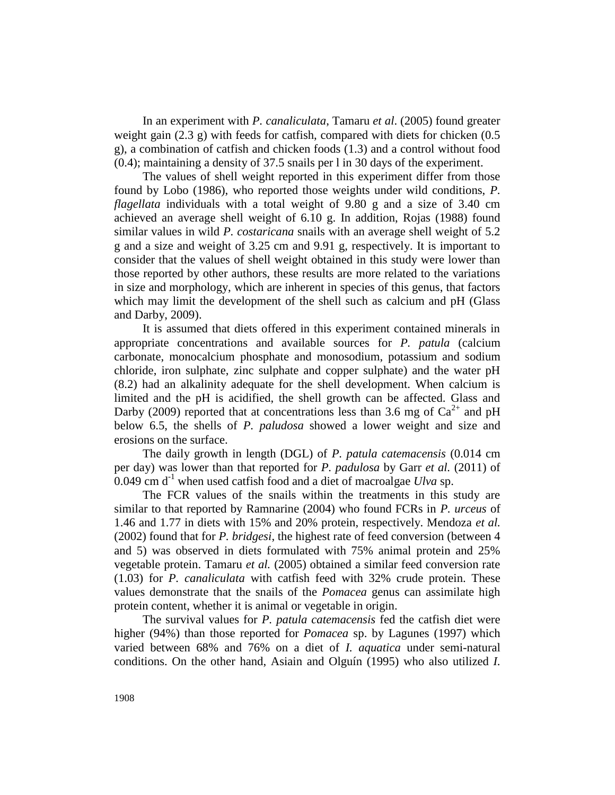In an experiment with *P. canaliculata*, Tamaru *et al*. (2005) found greater weight gain  $(2.3 \text{ g})$  with feeds for catfish, compared with diets for chicken  $(0.5 \text{ g})$ g), a combination of catfish and chicken foods (1.3) and a control without food (0.4); maintaining a density of 37.5 snails per l in 30 days of the experiment.

The values of shell weight reported in this experiment differ from those found by Lobo (1986), who reported those weights under wild conditions, *P. flagellata* individuals with a total weight of 9.80 g and a size of 3.40 cm achieved an average shell weight of 6.10 g. In addition, Rojas (1988) found similar values in wild *P. costaricana* snails with an average shell weight of 5.2 g and a size and weight of 3.25 cm and 9.91 g, respectively. It is important to consider that the values of shell weight obtained in this study were lower than those reported by other authors, these results are more related to the variations in size and morphology, which are inherent in species of this genus, that factors which may limit the development of the shell such as calcium and pH (Glass and Darby, 2009).

It is assumed that diets offered in this experiment contained minerals in appropriate concentrations and available sources for *P. patula* (calcium carbonate, monocalcium phosphate and monosodium, potassium and sodium chloride, iron sulphate, zinc sulphate and copper sulphate) and the water pH (8.2) had an alkalinity adequate for the shell development. When calcium is limited and the pH is acidified, the shell growth can be affected. Glass and Darby (2009) reported that at concentrations less than 3.6 mg of  $Ca^{2+}$  and pH below 6.5, the shells of *P. paludosa* showed a lower weight and size and erosions on the surface.

The daily growth in length (DGL) of *P. patula catemacensis* (0.014 cm per day) was lower than that reported for *P. padulosa* by Garr *et al.* (2011) of 0.049 cm  $d^{-1}$  when used catfish food and a diet of macroalgae *Ulva* sp.

The FCR values of the snails within the treatments in this study are similar to that reported by Ramnarine (2004) who found FCRs in *P. urceus* of 1.46 and 1.77 in diets with 15% and 20% protein, respectively. Mendoza *et al.* (2002) found that for *P. bridgesi*, the highest rate of feed conversion (between 4 and 5) was observed in diets formulated with 75% animal protein and 25% vegetable protein. Tamaru *et al.* (2005) obtained a similar feed conversion rate (1.03) for *P. canaliculata* with catfish feed with 32% crude protein. These values demonstrate that the snails of the *Pomacea* genus can assimilate high protein content, whether it is animal or vegetable in origin.

The survival values for *P. patula catemacensis* fed the catfish diet were higher (94%) than those reported for *Pomacea* sp. by Lagunes (1997) which varied between 68% and 76% on a diet of *I. aquatica* under semi-natural conditions. On the other hand, Asiain and Olguín (1995) who also utilized *I.*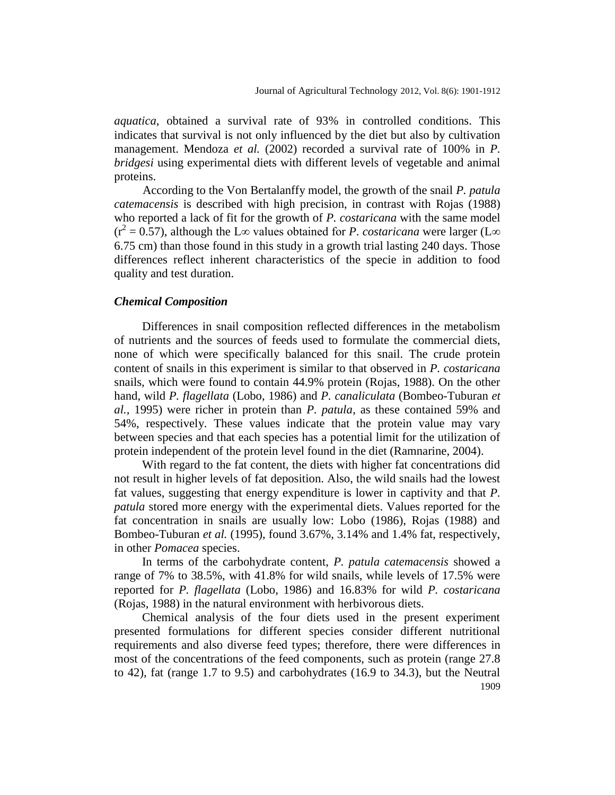*aquatica*, obtained a survival rate of 93% in controlled conditions. This indicates that survival is not only influenced by the diet but also by cultivation management. Mendoza *et al.* (2002) recorded a survival rate of 100% in *P. bridgesi* using experimental diets with different levels of vegetable and animal proteins.

According to the Von Bertalanffy model, the growth of the snail *P. patula catemacensis* is described with high precision, in contrast with Rojas (1988) who reported a lack of fit for the growth of *P. costaricana* with the same model  $(r^2 = 0.57)$ , although the L∞ values obtained for *P. costaricana* were larger (L∞ 6.75 cm) than those found in this study in a growth trial lasting 240 days. Those differences reflect inherent characteristics of the specie in addition to food quality and test duration.

#### *Chemical Composition*

Differences in snail composition reflected differences in the metabolism of nutrients and the sources of feeds used to formulate the commercial diets, none of which were specifically balanced for this snail. The crude protein content of snails in this experiment is similar to that observed in *P. costaricana* snails, which were found to contain 44.9% protein (Rojas, 1988). On the other hand, wild *P. flagellata* (Lobo, 1986) and *P. canaliculata* (Bombeo-Tuburan *et al.,* 1995) were richer in protein than *P. patula*, as these contained 59% and 54%, respectively. These values indicate that the protein value may vary between species and that each species has a potential limit for the utilization of protein independent of the protein level found in the diet (Ramnarine, 2004).

With regard to the fat content, the diets with higher fat concentrations did not result in higher levels of fat deposition. Also, the wild snails had the lowest fat values, suggesting that energy expenditure is lower in captivity and that *P. patula* stored more energy with the experimental diets. Values reported for the fat concentration in snails are usually low: Lobo (1986), Rojas (1988) and Bombeo-Tuburan *et al.* (1995), found 3.67%, 3.14% and 1.4% fat, respectively, in other *Pomacea* species.

In terms of the carbohydrate content, *P. patula catemacensis* showed a range of 7% to 38.5%, with 41.8% for wild snails, while levels of 17.5% were reported for *P. flagellata* (Lobo, 1986) and 16.83% for wild *P. costaricana* (Rojas, 1988) in the natural environment with herbivorous diets.

1909 Chemical analysis of the four diets used in the present experiment presented formulations for different species consider different nutritional requirements and also diverse feed types; therefore, there were differences in most of the concentrations of the feed components, such as protein (range 27.8 to 42), fat (range 1.7 to 9.5) and carbohydrates (16.9 to 34.3), but the Neutral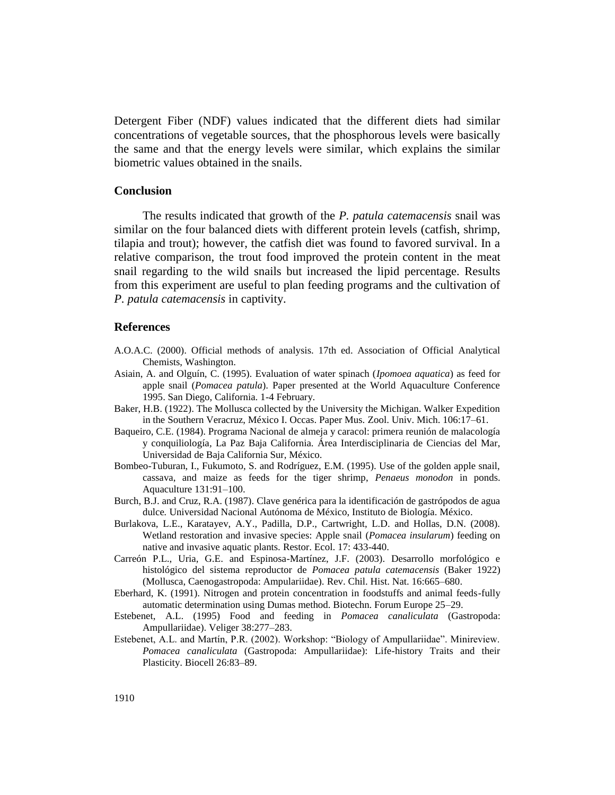Detergent Fiber (NDF) values indicated that the different diets had similar concentrations of vegetable sources, that the phosphorous levels were basically the same and that the energy levels were similar, which explains the similar biometric values obtained in the snails.

### **Conclusion**

The results indicated that growth of the *P. patula catemacensis* snail was similar on the four balanced diets with different protein levels (catfish, shrimp, tilapia and trout); however, the catfish diet was found to favored survival. In a relative comparison, the trout food improved the protein content in the meat snail regarding to the wild snails but increased the lipid percentage. Results from this experiment are useful to plan feeding programs and the cultivation of *P. patula catemacensis* in captivity.

#### **References**

- A.O.A.C. (2000). Official methods of analysis. 17th ed. Association of Official Analytical Chemists, Washington.
- Asiain, A. and Olguín, C. (1995). Evaluation of water spinach (*Ipomoea aquatica*) as feed for apple snail (*Pomacea patula*). Paper presented at the World Aquaculture Conference 1995. San Diego, California. 1-4 February.
- Baker, H.B. (1922). The Mollusca collected by the University the Michigan. Walker Expedition in the Southern Veracruz, México I. Occas. Paper Mus. Zool. Univ. Mich. 106:17–61.
- Baqueiro, C.E. (1984). Programa Nacional de almeja y caracol: primera reunión de malacología y conquiliología*,* La Paz Baja California. Área Interdisciplinaria de Ciencias del Mar, Universidad de Baja California Sur, México.
- Bombeo-Tuburan, I., Fukumoto, S. and Rodríguez, E.M. (1995). Use of the golden apple snail, cassava, and maize as feeds for the tiger shrimp, *Penaeus monodon* in ponds. Aquaculture 131:91–100.
- Burch, B.J. and Cruz, R.A. (1987). Clave genérica para la identificación de gastrópodos de agua dulce*.* Universidad Nacional Autónoma de México, Instituto de Biología. México.
- Burlakova, L.E., Karatayev, A.Y., Padilla, D.P., Cartwright, L.D. and Hollas, D.N. (2008). Wetland restoration and invasive species: Apple snail (*Pomacea insularum*) feeding on native and invasive aquatic plants. Restor. Ecol. 17: 433-440.
- Carreón P.L., Uria, G.E. and Espinosa-Martínez, J.F. (2003). Desarrollo morfológico e histológico del sistema reproductor de *Pomacea patula catemacensis* (Baker 1922) (Mollusca, Caenogastropoda: Ampulariidae). Rev. Chil. Hist. Nat. 16:665–680.
- Eberhard, K. (1991). Nitrogen and protein concentration in foodstuffs and animal feeds-fully automatic determination using Dumas method. Biotechn. Forum Europe 25–29.
- Estebenet, A.L. (1995) Food and feeding in *Pomacea canaliculata* (Gastropoda: Ampullariidae). Veliger 38:277–283.
- Estebenet, A.L. and Martín, P.R. (2002). Workshop: "Biology of Ampullariidae". Minireview. *Pomacea canaliculata* (Gastropoda: Ampullariidae): Life-history Traits and their Plasticity. Biocell 26:83–89.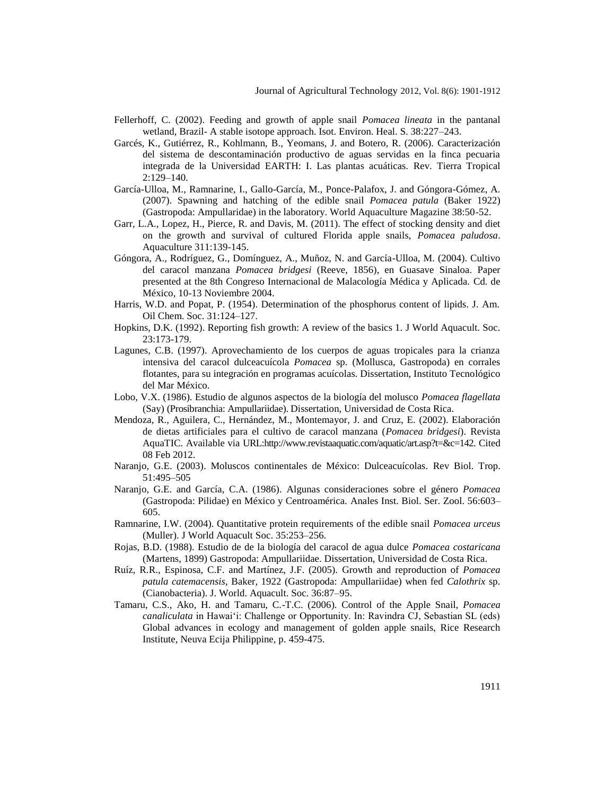- Fellerhoff, C. (2002). Feeding and growth of apple snail *Pomacea lineata* in the pantanal wetland, Brazil- A stable isotope approach. Isot. Environ. Heal. S. 38:227–243.
- Garcés, K., Gutiérrez, R., Kohlmann, B., Yeomans, J. and Botero, R. (2006). Caracterización del sistema de descontaminación productivo de aguas servidas en la finca pecuaria integrada de la Universidad EARTH: I. Las plantas acuáticas. Rev. Tierra Tropical 2:129–140.
- García-Ulloa, M., Ramnarine, I., Gallo-García, M., Ponce-Palafox, J. and Góngora-Gómez, A. (2007). Spawning and hatching of the edible snail *Pomacea patula* (Baker 1922) (Gastropoda: Ampullaridae) in the laboratory. World Aquaculture Magazine 38:50-52.
- Garr, L.A., Lopez, H., Pierce, R. and Davis, M. (2011). The effect of stocking density and diet on the growth and survival of cultured Florida apple snails, *Pomacea paludosa*. Aquaculture 311:139-145.
- Góngora, A., Rodríguez, G., Domínguez, A., Muñoz, N. and García-Ulloa, M. (2004). Cultivo del caracol manzana *Pomacea bridgesi* (Reeve, 1856), en Guasave Sinaloa. Paper presented at the 8th Congreso Internacional de Malacología Médica y Aplicada. Cd*.* de México, 10-13 Noviembre 2004.
- Harris, W.D. and Popat, P. (1954). Determination of the phosphorus content of lipids. J. Am. Oil Chem. Soc. 31:124–127.
- Hopkins, D.K. (1992). Reporting fish growth: A review of the basics 1. J World Aquacult. Soc. 23:173-179.
- Lagunes, C.B. (1997). Aprovechamiento de los cuerpos de aguas tropicales para la crianza intensiva del caracol dulceacuícola *Pomacea* sp. (Mollusca, Gastropoda) en corrales flotantes, para su integración en programas acuícolas. Dissertation, Instituto Tecnológico del Mar México.
- Lobo, V.X. (1986). Estudio de algunos aspectos de la biología del molusco *Pomacea flagellata* (Say) (Prosibranchia: Ampullariidae). Dissertation, Universidad de Costa Rica.
- Mendoza, R., Aguilera, C., Hernández, M., Montemayor, J. and Cruz, E. (2002). Elaboración de dietas artificiales para el cultivo de caracol manzana (*Pomacea bridgesi*). Revista AquaTIC. Available via URL:http://www.revistaaquatic.com/aquatic/art.asp?t=&c=142. Cited 08 Feb 2012.
- Naranjo, G.E. (2003). Moluscos continentales de México: Dulceacuícolas. Rev Biol. Trop. 51:495–505
- Naranjo, G.E. and García, C.A. (1986). Algunas consideraciones sobre el género *Pomacea*  (Gastropoda: Pilidae) en México y Centroamérica. Anales Inst. Biol. Ser. Zool. 56:603– 605.
- Ramnarine, I.W. (2004). Quantitative protein requirements of the edible snail *Pomacea urceus* (Muller). J World Aquacult Soc. 35:253–256.
- Rojas, B.D. (1988). Estudio de de la biología del caracol de agua dulce *Pomacea costaricana* (Martens, 1899) Gastropoda: Ampullariidae. Dissertation, Universidad de Costa Rica.
- Ruíz, R.R., Espinosa, C.F. and Martínez, J.F. (2005). Growth and reproduction of *Pomacea patula catemacensis*, Baker, 1922 (Gastropoda: Ampullariidae) when fed *Calothrix* sp. (Cianobacteria). J. World. Aquacult. Soc. 36:87–95.
- Tamaru, C.S., Ako, H. and Tamaru, C.-T.C. (2006). Control of the Apple Snail, *Pomacea canaliculata* in Hawai"i: Challenge or Opportunity. In: Ravindra CJ, Sebastian SL (eds) Global advances in ecology and management of golden apple snails, Rice Research Institute, Neuva Ecija Philippine, p. 459-475.